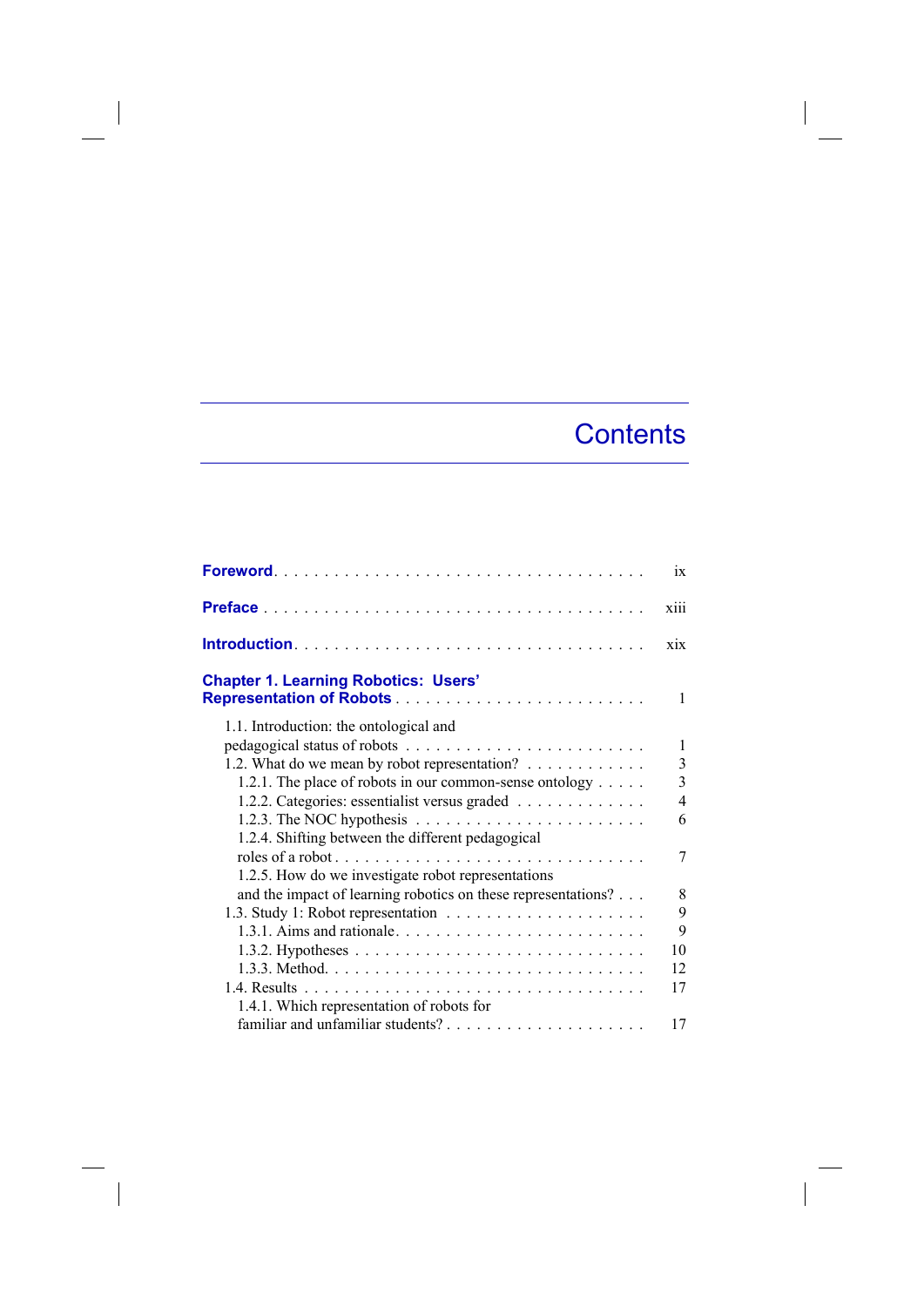## **Contents**

 $\overline{\phantom{a}}$ 

|                                                                              | ix             |
|------------------------------------------------------------------------------|----------------|
|                                                                              | xiii           |
|                                                                              | $\overline{X}$ |
| <b>Chapter 1. Learning Robotics: Users'</b>                                  | 1              |
| 1.1. Introduction: the ontological and                                       |                |
|                                                                              | 1              |
| 1.2. What do we mean by robot representation?                                | 3              |
| 1.2.1. The place of robots in our common-sense ontology                      | 3              |
| 1.2.2. Categories: essentialist versus graded                                | $\overline{4}$ |
| 1.2.3. The NOC hypothesis $\ldots \ldots \ldots \ldots \ldots \ldots \ldots$ | 6              |
| 1.2.4. Shifting between the different pedagogical                            |                |
| roles of a robot                                                             | 7              |
| 1.2.5. How do we investigate robot representations                           |                |
| and the impact of learning robotics on these representations?                | 8              |
|                                                                              | 9              |
|                                                                              | 9              |
|                                                                              | 10             |
|                                                                              | 12             |
|                                                                              | 17             |
| 1.4.1. Which representation of robots for                                    |                |
| familiar and unfamiliar students?                                            | 17             |
|                                                                              |                |

 $\begin{array}{c} \hline \end{array}$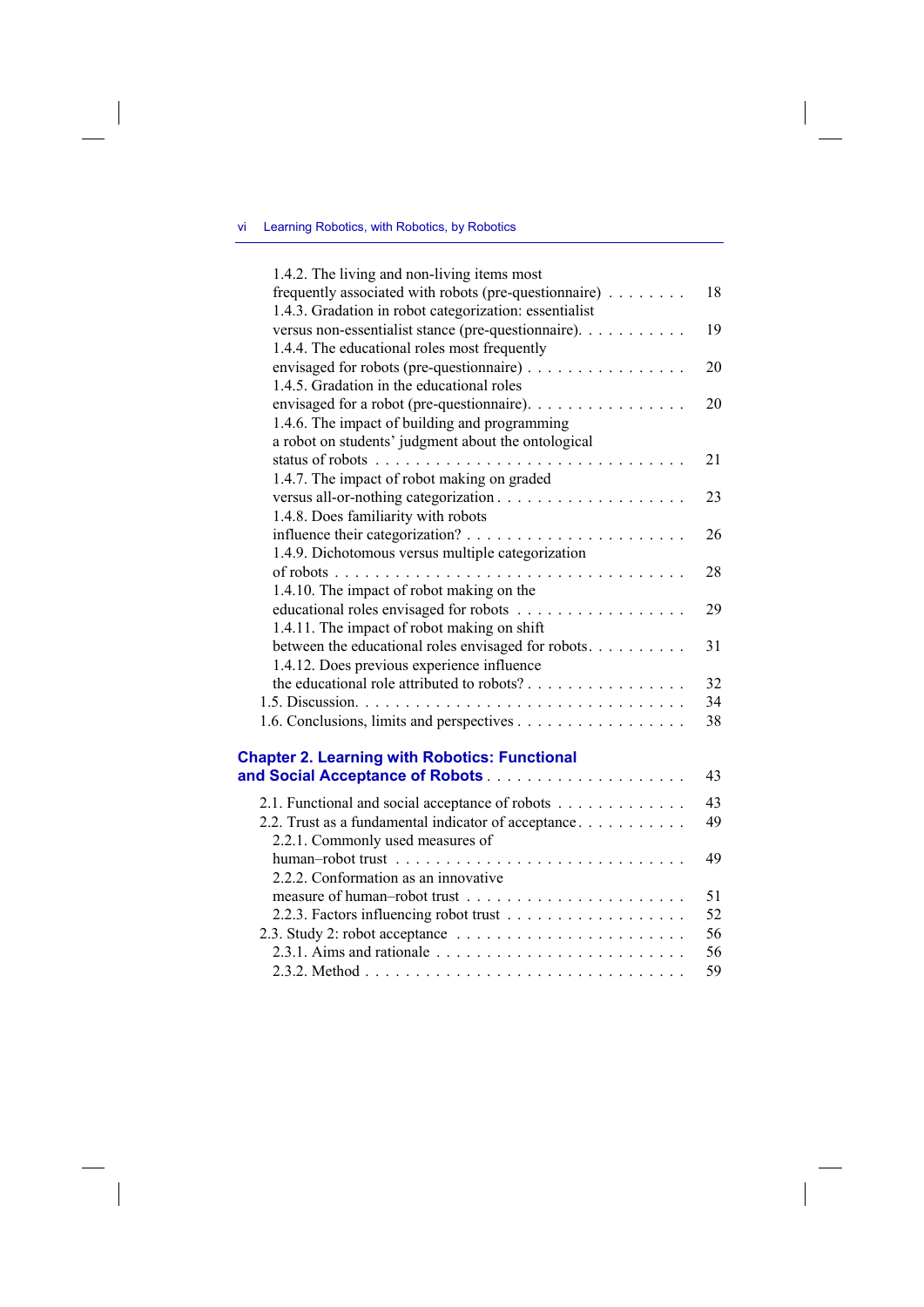## vi Learning Robotics, with Robotics, by Robotics

 $\overline{\phantom{a}}$ 

 $\overline{\phantom{a}}$ 

| 1.4.2. The living and non-living items most            |    |
|--------------------------------------------------------|----|
| frequently associated with robots (pre-questionnaire)  | 18 |
| 1.4.3. Gradation in robot categorization: essentialist |    |
| versus non-essentialist stance (pre-questionnaire).    | 19 |
| 1.4.4. The educational roles most frequently           |    |
| envisaged for robots (pre-questionnaire)               | 20 |
| 1.4.5. Gradation in the educational roles              |    |
| envisaged for a robot (pre-questionnaire).             | 20 |
| 1.4.6. The impact of building and programming          |    |
| a robot on students' judgment about the ontological    |    |
|                                                        | 21 |
| 1.4.7. The impact of robot making on graded            |    |
|                                                        | 23 |
| 1.4.8. Does familiarity with robots                    |    |
|                                                        | 26 |
| 1.4.9. Dichotomous versus multiple categorization      |    |
|                                                        | 28 |
| 1.4.10. The impact of robot making on the              |    |
| educational roles envisaged for robots                 | 29 |
| 1.4.11. The impact of robot making on shift            |    |
| between the educational roles envisaged for robots.    | 31 |
| 1.4.12. Does previous experience influence             |    |
| the educational role attributed to robots?             | 32 |
|                                                        | 34 |
| 1.6. Conclusions, limits and perspectives              | 38 |
|                                                        |    |
| <b>Chapter 2. Learning with Robotics: Functional</b>   | 43 |
|                                                        |    |
| 2.1. Functional and social acceptance of robots        | 43 |
| 2.2. Trust as a fundamental indicator of acceptance    | 49 |
| 2.2.1. Commonly used measures of                       |    |
|                                                        | 49 |
| 2.2.2. Conformation as an innovative                   |    |
|                                                        | 51 |
|                                                        | 52 |
|                                                        | 56 |
|                                                        | 56 |
|                                                        | 59 |

 $\overline{\phantom{a}}$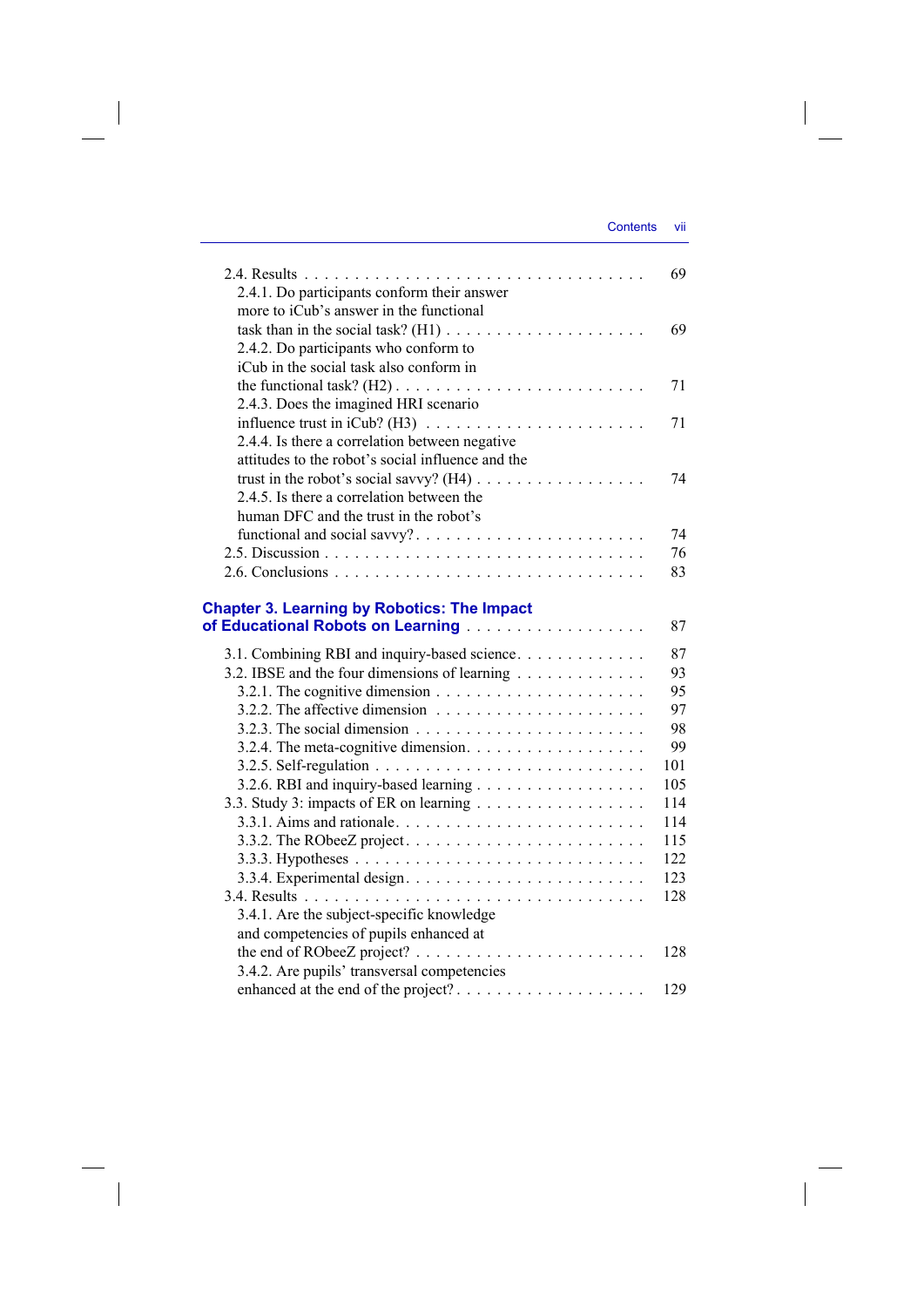| Contents | VII |
|----------|-----|
|          |     |
|          |     |

 $\overline{\phantom{a}}$ 

| 2.4.1. Do participants conform their answer                                      | 69  |
|----------------------------------------------------------------------------------|-----|
| more to iCub's answer in the functional                                          |     |
|                                                                                  | 69  |
| 2.4.2. Do participants who conform to                                            |     |
| iCub in the social task also conform in                                          |     |
|                                                                                  | 71  |
| 2.4.3. Does the imagined HRI scenario                                            |     |
|                                                                                  | 71  |
| 2.4.4. Is there a correlation between negative                                   |     |
| attitudes to the robot's social influence and the                                |     |
|                                                                                  | 74  |
| 2.4.5. Is there a correlation between the                                        |     |
| human DFC and the trust in the robot's                                           |     |
| functional and social savvy?                                                     | 74  |
|                                                                                  | 76  |
|                                                                                  | 83  |
|                                                                                  |     |
| <b>Chapter 3. Learning by Robotics: The Impact</b>                               |     |
|                                                                                  | 87  |
| 3.1. Combining RBI and inquiry-based science.                                    | 87  |
| 3.2. IBSE and the four dimensions of learning                                    | 93  |
| 3.2.1. The cognitive dimension $\dots \dots \dots \dots \dots \dots \dots$       | 95  |
| 3.2.2. The affective dimension $\dots \dots \dots \dots \dots \dots \dots \dots$ | 97  |
| 3.2.3. The social dimension $\ldots \ldots \ldots \ldots \ldots \ldots \ldots$   | 98  |
| 3.2.4. The meta-cognitive dimension. $\dots \dots \dots \dots \dots \dots$       | 99  |
|                                                                                  | 101 |
| 3.2.6. RBI and inquiry-based learning                                            | 105 |
| 3.3. Study 3: impacts of ER on learning                                          | 114 |
|                                                                                  | 114 |
|                                                                                  | 115 |
|                                                                                  | 122 |
|                                                                                  | 123 |
|                                                                                  |     |
|                                                                                  | 128 |
| 3.4.1. Are the subject-specific knowledge                                        |     |
| and competencies of pupils enhanced at                                           |     |
| the end of RObeeZ project? $\ldots \ldots \ldots \ldots \ldots \ldots \ldots$    | 128 |
| 3.4.2. Are pupils' transversal competencies                                      |     |
| enhanced at the end of the project?                                              | 129 |

 $\overline{\phantom{a}}$